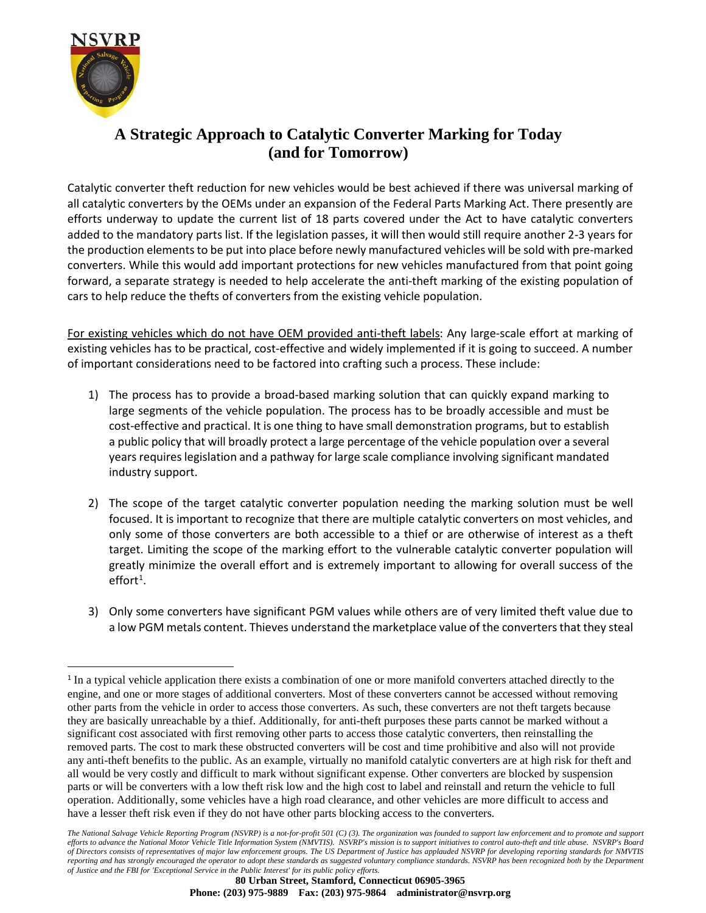

## **A Strategic Approach to Catalytic Converter Marking for Today (and for Tomorrow)**

Catalytic converter theft reduction for new vehicles would be best achieved if there was universal marking of all catalytic converters by the OEMs under an expansion of the Federal Parts Marking Act. There presently are efforts underway to update the current list of 18 parts covered under the Act to have catalytic converters added to the mandatory parts list. If the legislation passes, it will then would still require another 2-3 years for the production elements to be put into place before newly manufactured vehicles will be sold with pre-marked converters. While this would add important protections for new vehicles manufactured from that point going forward, a separate strategy is needed to help accelerate the anti-theft marking of the existing population of cars to help reduce the thefts of converters from the existing vehicle population.

For existing vehicles which do not have OEM provided anti-theft labels: Any large-scale effort at marking of existing vehicles has to be practical, cost-effective and widely implemented if it is going to succeed. A number of important considerations need to be factored into crafting such a process. These include:

- 1) The process has to provide a broad-based marking solution that can quickly expand marking to large segments of the vehicle population. The process has to be broadly accessible and must be cost-effective and practical. It is one thing to have small demonstration programs, but to establish a public policy that will broadly protect a large percentage of the vehicle population over a several years requires legislation and a pathway for large scale compliance involving significant mandated industry support.
- 2) The scope of the target catalytic converter population needing the marking solution must be well focused. It is important to recognize that there are multiple catalytic converters on most vehicles, and only some of those converters are both accessible to a thief or are otherwise of interest as a theft target. Limiting the scope of the marking effort to the vulnerable catalytic converter population will greatly minimize the overall effort and is extremely important to allowing for overall success of the  $effort<sup>1</sup>$  $effort<sup>1</sup>$  $effort<sup>1</sup>$ .
- 3) Only some converters have significant PGM values while others are of very limited theft value due to a low PGM metals content. Thieves understand the marketplace value of the converters that they steal

*The National Salvage Vehicle Reporting Program (NSVRP) is a not-for-profit 501 (C) (3). The organization was founded to support law enforcement and to promote and support efforts to advance the National Motor Vehicle Title Information System (NMVTIS). NSVRP's mission is to support initiatives to control auto-theft and title abuse. NSVRP's Board of Directors consists of representatives of major law enforcement groups. The US Department of Justice has applauded NSVRP for developing reporting standards for NMVTIS reporting and has strongly encouraged the operator to adopt these standards as suggested voluntary compliance standards. NSVRP has been recognized both by the Department of Justice and the FBI for 'Exceptional Service in the Public Interest' for its public policy efforts.*

<span id="page-0-0"></span><sup>1</sup> In a typical vehicle application there exists a combination of one or more manifold converters attached directly to the engine, and one or more stages of additional converters. Most of these converters cannot be accessed without removing other parts from the vehicle in order to access those converters. As such, these converters are not theft targets because they are basically unreachable by a thief. Additionally, for anti-theft purposes these parts cannot be marked without a significant cost associated with first removing other parts to access those catalytic converters, then reinstalling the removed parts. The cost to mark these obstructed converters will be cost and time prohibitive and also will not provide any anti-theft benefits to the public. As an example, virtually no manifold catalytic converters are at high risk for theft and all would be very costly and difficult to mark without significant expense. Other converters are blocked by suspension parts or will be converters with a low theft risk low and the high cost to label and reinstall and return the vehicle to full operation. Additionally, some vehicles have a high road clearance, and other vehicles are more difficult to access and have a lesser theft risk even if they do not have other parts blocking access to the converters.